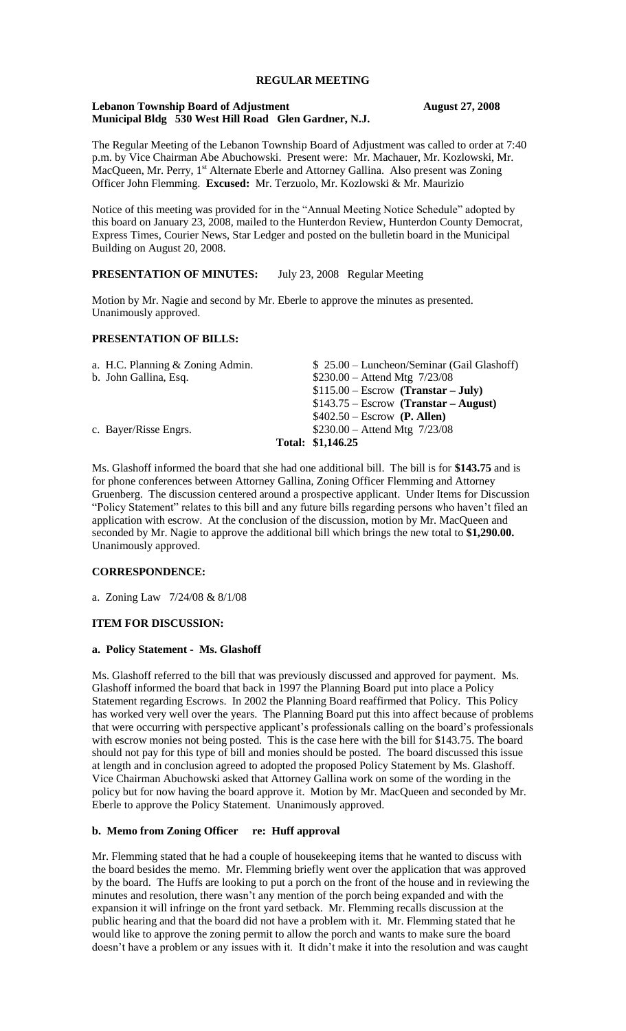# **REGULAR MEETING**

#### **Lebanon Township Board of Adjustment August 27, 2008 Municipal Bldg 530 West Hill Road Glen Gardner, N.J.**

The Regular Meeting of the Lebanon Township Board of Adjustment was called to order at 7:40 p.m. by Vice Chairman Abe Abuchowski. Present were: Mr. Machauer, Mr. Kozlowski, Mr. MacQueen, Mr. Perry, 1<sup>st</sup> Alternate Eberle and Attorney Gallina. Also present was Zoning Officer John Flemming. **Excused:** Mr. Terzuolo, Mr. Kozlowski & Mr. Maurizio

Notice of this meeting was provided for in the "Annual Meeting Notice Schedule" adopted by this board on January 23, 2008, mailed to the Hunterdon Review, Hunterdon County Democrat, Express Times, Courier News, Star Ledger and posted on the bulletin board in the Municipal Building on August 20, 2008.

# **PRESENTATION OF MINUTES:** July 23, 2008 Regular Meeting

Motion by Mr. Nagie and second by Mr. Eberle to approve the minutes as presented. Unanimously approved.

## **PRESENTATION OF BILLS:**

| a. H.C. Planning & Zoning Admin. | $$25.00$ – Luncheon/Seminar (Gail Glashoff) |
|----------------------------------|---------------------------------------------|
| b. John Gallina, Esq.            | $$230.00 -$ Attend Mtg $7/23/08$            |
|                                  | $$115.00 - Escrow$ (Transtar - July)        |
|                                  | $$143.75 - Escrow$ (Transtar – August)      |
|                                  | $$402.50 - Escrow$ (P. Allen)               |
| c. Bayer/Risse Engrs.            | $$230.00 -$ Attend Mtg $7/23/08$            |
|                                  | Total: \$1,146.25                           |

Ms. Glashoff informed the board that she had one additional bill. The bill is for **\$143.75** and is for phone conferences between Attorney Gallina, Zoning Officer Flemming and Attorney Gruenberg. The discussion centered around a prospective applicant. Under Items for Discussion "Policy Statement" relates to this bill and any future bills regarding persons who haven't filed an application with escrow. At the conclusion of the discussion, motion by Mr. MacQueen and seconded by Mr. Nagie to approve the additional bill which brings the new total to **\$1,290.00.**  Unanimously approved.

## **CORRESPONDENCE:**

a. Zoning Law 7/24/08 & 8/1/08

## **ITEM FOR DISCUSSION:**

#### **a. Policy Statement - Ms. Glashoff**

Ms. Glashoff referred to the bill that was previously discussed and approved for payment. Ms. Glashoff informed the board that back in 1997 the Planning Board put into place a Policy Statement regarding Escrows. In 2002 the Planning Board reaffirmed that Policy. This Policy has worked very well over the years. The Planning Board put this into affect because of problems that were occurring with perspective applicant's professionals calling on the board's professionals with escrow monies not being posted. This is the case here with the bill for \$143.75. The board should not pay for this type of bill and monies should be posted. The board discussed this issue at length and in conclusion agreed to adopted the proposed Policy Statement by Ms. Glashoff. Vice Chairman Abuchowski asked that Attorney Gallina work on some of the wording in the policy but for now having the board approve it. Motion by Mr. MacQueen and seconded by Mr. Eberle to approve the Policy Statement. Unanimously approved.

#### **b. Memo from Zoning Officer re: Huff approval**

Mr. Flemming stated that he had a couple of housekeeping items that he wanted to discuss with the board besides the memo. Mr. Flemming briefly went over the application that was approved by the board. The Huffs are looking to put a porch on the front of the house and in reviewing the minutes and resolution, there wasn't any mention of the porch being expanded and with the expansion it will infringe on the front yard setback. Mr. Flemming recalls discussion at the public hearing and that the board did not have a problem with it. Mr. Flemming stated that he would like to approve the zoning permit to allow the porch and wants to make sure the board doesn't have a problem or any issues with it. It didn't make it into the resolution and was caught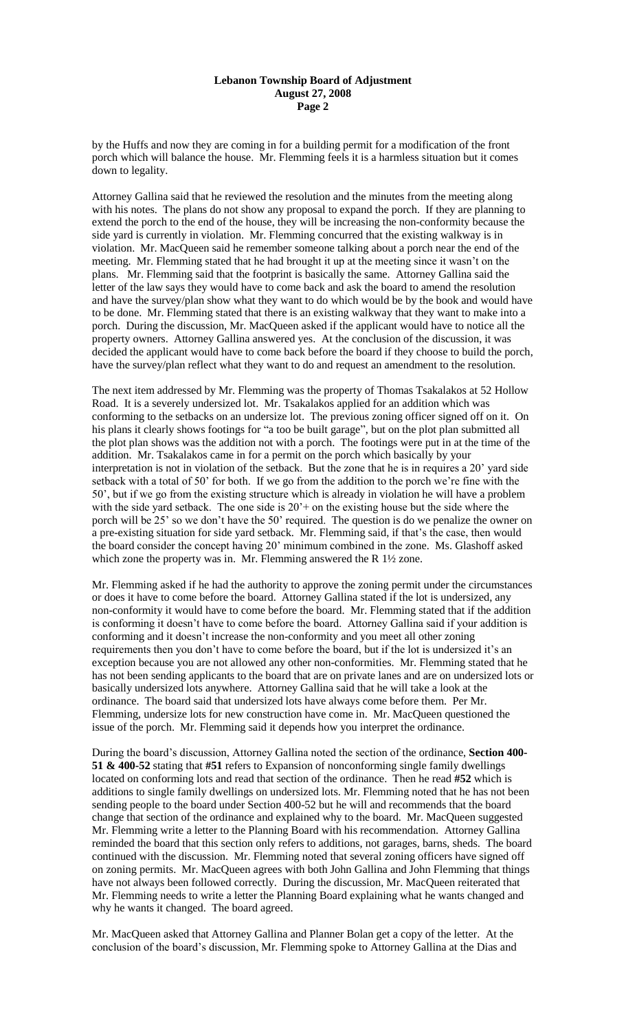#### **Lebanon Township Board of Adjustment August 27, 2008 Page 2**

by the Huffs and now they are coming in for a building permit for a modification of the front porch which will balance the house. Mr. Flemming feels it is a harmless situation but it comes down to legality.

Attorney Gallina said that he reviewed the resolution and the minutes from the meeting along with his notes. The plans do not show any proposal to expand the porch. If they are planning to extend the porch to the end of the house, they will be increasing the non-conformity because the side yard is currently in violation. Mr. Flemming concurred that the existing walkway is in violation. Mr. MacQueen said he remember someone talking about a porch near the end of the meeting. Mr. Flemming stated that he had brought it up at the meeting since it wasn't on the plans. Mr. Flemming said that the footprint is basically the same. Attorney Gallina said the letter of the law says they would have to come back and ask the board to amend the resolution and have the survey/plan show what they want to do which would be by the book and would have to be done. Mr. Flemming stated that there is an existing walkway that they want to make into a porch. During the discussion, Mr. MacQueen asked if the applicant would have to notice all the property owners. Attorney Gallina answered yes. At the conclusion of the discussion, it was decided the applicant would have to come back before the board if they choose to build the porch, have the survey/plan reflect what they want to do and request an amendment to the resolution.

The next item addressed by Mr. Flemming was the property of Thomas Tsakalakos at 52 Hollow Road. It is a severely undersized lot. Mr. Tsakalakos applied for an addition which was conforming to the setbacks on an undersize lot. The previous zoning officer signed off on it. On his plans it clearly shows footings for "a too be built garage", but on the plot plan submitted all the plot plan shows was the addition not with a porch. The footings were put in at the time of the addition. Mr. Tsakalakos came in for a permit on the porch which basically by your interpretation is not in violation of the setback. But the zone that he is in requires a 20' yard side setback with a total of 50' for both. If we go from the addition to the porch we're fine with the 50', but if we go from the existing structure which is already in violation he will have a problem with the side yard setback. The one side is  $20<sup>3</sup>$  on the existing house but the side where the porch will be 25' so we don't have the 50' required. The question is do we penalize the owner on a pre-existing situation for side yard setback. Mr. Flemming said, if that's the case, then would the board consider the concept having 20' minimum combined in the zone. Ms. Glashoff asked which zone the property was in. Mr. Flemming answered the R  $1\frac{1}{2}$  zone.

Mr. Flemming asked if he had the authority to approve the zoning permit under the circumstances or does it have to come before the board. Attorney Gallina stated if the lot is undersized, any non-conformity it would have to come before the board. Mr. Flemming stated that if the addition is conforming it doesn't have to come before the board. Attorney Gallina said if your addition is conforming and it doesn't increase the non-conformity and you meet all other zoning requirements then you don't have to come before the board, but if the lot is undersized it's an exception because you are not allowed any other non-conformities. Mr. Flemming stated that he has not been sending applicants to the board that are on private lanes and are on undersized lots or basically undersized lots anywhere. Attorney Gallina said that he will take a look at the ordinance. The board said that undersized lots have always come before them. Per Mr. Flemming, undersize lots for new construction have come in. Mr. MacQueen questioned the issue of the porch. Mr. Flemming said it depends how you interpret the ordinance.

During the board's discussion, Attorney Gallina noted the section of the ordinance, **Section 400- 51 & 400-52** stating that **#51** refers to Expansion of nonconforming single family dwellings located on conforming lots and read that section of the ordinance. Then he read **#52** which is additions to single family dwellings on undersized lots. Mr. Flemming noted that he has not been sending people to the board under Section 400-52 but he will and recommends that the board change that section of the ordinance and explained why to the board. Mr. MacQueen suggested Mr. Flemming write a letter to the Planning Board with his recommendation. Attorney Gallina reminded the board that this section only refers to additions, not garages, barns, sheds. The board continued with the discussion. Mr. Flemming noted that several zoning officers have signed off on zoning permits. Mr. MacQueen agrees with both John Gallina and John Flemming that things have not always been followed correctly. During the discussion, Mr. MacQueen reiterated that Mr. Flemming needs to write a letter the Planning Board explaining what he wants changed and why he wants it changed. The board agreed.

Mr. MacQueen asked that Attorney Gallina and Planner Bolan get a copy of the letter. At the conclusion of the board's discussion, Mr. Flemming spoke to Attorney Gallina at the Dias and